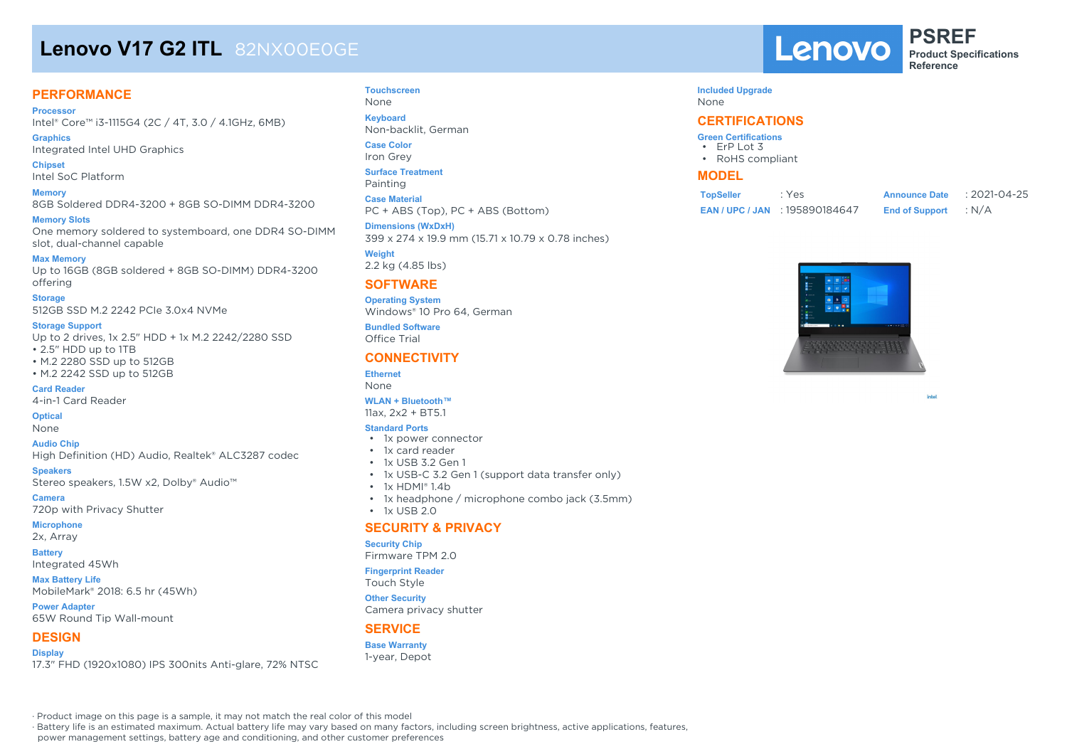# **Lenovo V17 G2 ITL** 82NX00E0GE

#### **PERFORMANCE**

**Processor** Intel® Core™ i3-1115G4 (2C / 4T, 3.0 / 4.1GHz, 6MB)

**Graphics** Integrated Intel UHD Graphics

**Chipset** Intel SoC Platform

**Memory** 8GB Soldered DDR4-3200 + 8GB SO-DIMM DDR4-3200

**Memory Slots** One memory soldered to systemboard, one DDR4 SO-DIMM slot, dual-channel capable

**Max Memory** Up to 16GB (8GB soldered + 8GB SO-DIMM) DDR4-3200 offering

**Storage** 512GB SSD M.2 2242 PCIe 3.0x4 NVMe

**Storage Support**

Up to 2 drives, 1x 2.5" HDD + 1x M.2 2242/2280 SSD • 2.5" HDD up to 1TB

• M.2 2280 SSD up to 512GB

• M.2 2242 SSD up to 512GB

**Card Reader** 4-in-1 Card Reader

**Optical**

None

**Audio Chip** High Definition (HD) Audio, Realtek® ALC3287 codec

**Speakers** Stereo speakers, 1.5W x2, Dolby® Audio™

**Camera**

720p with Privacy Shutter

**Microphone** 2x, Array

**Battery**

Integrated 45Wh

**Max Battery Life** MobileMark® 2018: 6.5 hr (45Wh)

**Power Adapter** 65W Round Tip Wall-mount

#### **DESIGN**

**Display** 17.3" FHD (1920x1080) IPS 300nits Anti-glare, 72% NTSC **Touchscreen** None **Keyboard**

Non-backlit, German

**Case Color** Iron Grey

**Surface Treatment** Painting

**Case Material**

PC + ABS (Top), PC + ABS (Bottom) **Dimensions (WxDxH)**

399 x 274 x 19.9 mm (15.71 x 10.79 x 0.78 inches)

**Weight** 2.2 kg (4.85 lbs)

#### **SOFTWARE**

**Operating System** Windows® 10 Pro 64, German

**Bundled Software** Office Trial

#### **CONNECTIVITY**

**Ethernet** None

### **WLAN + Bluetooth™**

11ax, 2x2 + BT5.1

#### **Standard Ports**

- 1x power connector
- 1x card reader
- 1x USB 3.2 Gen 1
- 1x USB-C 3.2 Gen 1 (support data transfer only)
- 1x HDMI® 1.4b
- 1x headphone / microphone combo jack (3.5mm)
- $\cdot$  1x USB 2.0

#### **SECURITY & PRIVACY**

#### **Security Chip**

Firmware TPM 2.0

#### **Fingerprint Reader**

Touch Style

Camera privacy shutter

#### **SERVICE**

**Base Warranty** 1-year, Depot



**PSREF Product Specifications Reference**

#### **Included Upgrade**

None

#### **CERTIFICATIONS**

- **Green Certifications** • ErP Lot 3 • RoHS compliant
- **MODEL**

| <b>TopSeller</b> | : Yes                            | <b>Announce Date</b>  | :2021-04-25 |
|------------------|----------------------------------|-----------------------|-------------|
|                  | <b>EAN/UPC/JAN: 195890184647</b> | <b>End of Support</b> | : N/A       |



intel

· Product image on this page is a sample, it may not match the real color of this model

· Battery life is an estimated maximum. Actual battery life may vary based on many factors, including screen brightness, active applications, features,

power management settings, battery age and conditioning, and other customer preferences



**Other Security**